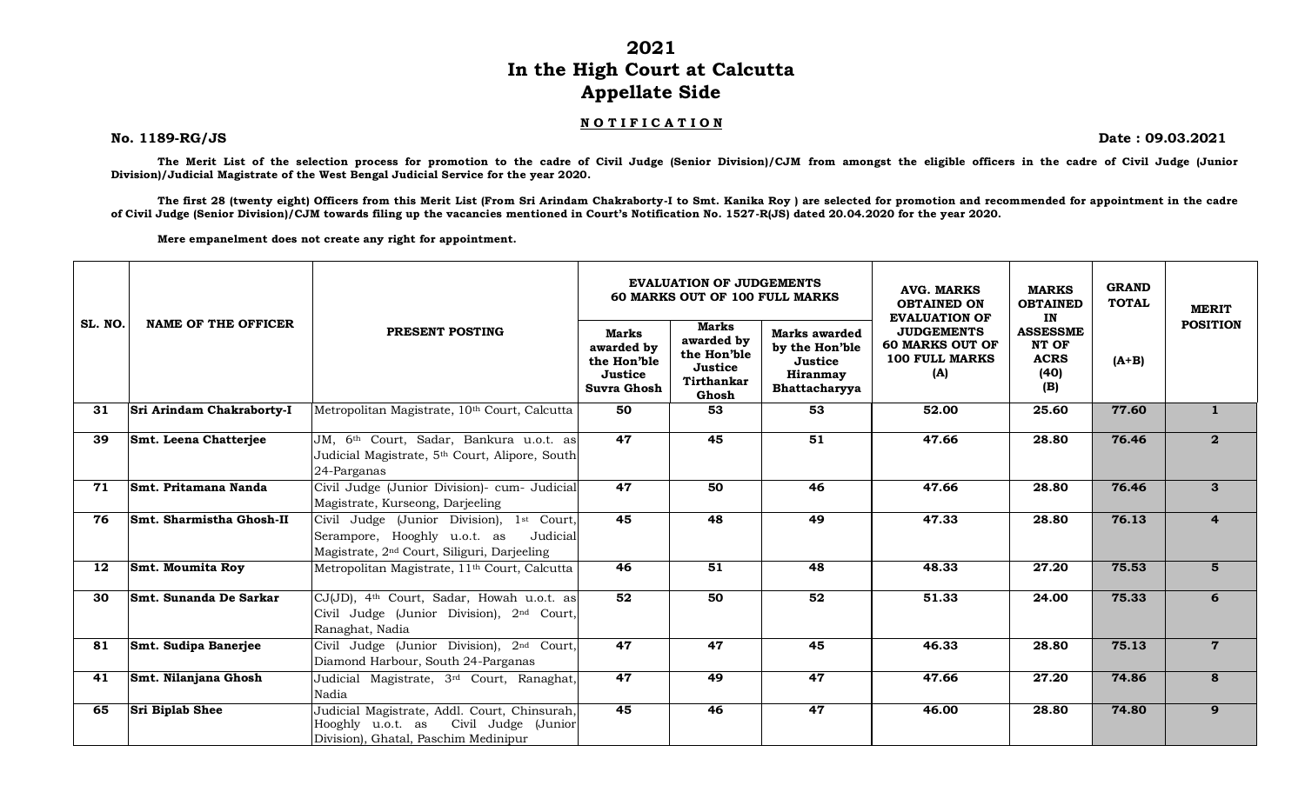**2021**

## **In the High Court at Calcutta Appellate Side**

## **N O T I F I C A T I O N**

**No. 1189-RG/JS Date : 09.03.2021**

**The Merit List of the selection process for promotion to the cadre of Civil Judge (Senior Division)/CJM from amongst the eligible officers in the cadre of Civil Judge (Junior Division)/Judicial Magistrate of the West Bengal Judicial Service for the year 2020.**

**The first 28 (twenty eight) Officers from this Merit List (From Sri Arindam Chakraborty-I to Smt. Kanika Roy ) are selected for promotion and recommended for appointment in the cadre of Civil Judge (Senior Division)/CJM towards filing up the vacancies mentioned in Court's Notification No. 1527-R(JS) dated 20.04.2020 for the year 2020.**

**Mere empanelment does not create any right for appointment.**

|         |                            |                                                                                                                                                  |                                                              | <b>EVALUATION OF JUDGEMENTS</b><br>60 MARKS OUT OF 100 FULL MARKS    |                                                                                | <b>AVG. MARKS</b><br><b>OBTAINED ON</b><br><b>EVALUATION OF</b>             | <b>MARKS</b><br><b>OBTAINED</b><br>IN                  | <b>GRAND</b><br><b>TOTAL</b> | <b>MERIT</b><br><b>POSITION</b> |
|---------|----------------------------|--------------------------------------------------------------------------------------------------------------------------------------------------|--------------------------------------------------------------|----------------------------------------------------------------------|--------------------------------------------------------------------------------|-----------------------------------------------------------------------------|--------------------------------------------------------|------------------------------|---------------------------------|
| SL. NO. | <b>NAME OF THE OFFICER</b> | PRESENT POSTING                                                                                                                                  | Marks<br>awarded by<br>the Hon'ble<br>Justice<br>Suvra Ghosh | Marks<br>awarded by<br>the Hon'ble<br>Justice<br>Tirthankar<br>Ghosh | Marks awarded<br>by the Hon'ble<br>Justice<br><b>Hiranmay</b><br>Bhattacharyya | <b>JUDGEMENTS</b><br><b>60 MARKS OUT OF</b><br><b>100 FULL MARKS</b><br>(A) | <b>ASSESSME</b><br>NT OF<br><b>ACRS</b><br>(40)<br>(B) | $(A+B)$                      |                                 |
| 31      | Sri Arindam Chakraborty-I  | Metropolitan Magistrate, 10th Court, Calcutta                                                                                                    | 50                                                           | 53                                                                   | $\overline{53}$                                                                | 52.00                                                                       | 25.60                                                  | 77.60                        | $\mathbf{1}$                    |
| 39      | Smt. Leena Chatterjee      | JM, 6 <sup>th</sup> Court, Sadar, Bankura u.o.t. as<br>Judicial Magistrate, 5 <sup>th</sup> Court, Alipore, South<br>24-Parganas                 | $\overline{47}$                                              | 45                                                                   | 51                                                                             | 47.66                                                                       | 28.80                                                  | 76.46                        | $\mathbf{2}$                    |
| 71      | Smt. Pritamana Nanda       | Civil Judge (Junior Division)- cum- Judicial<br>Magistrate, Kurseong, Darjeeling                                                                 | 47                                                           | 50                                                                   | $\overline{46}$                                                                | 47.66                                                                       | 28.80                                                  | 76.46                        | $\mathbf{3}$                    |
| 76      | Smt. Sharmistha Ghosh-II   | Civil Judge (Junior Division), 1st Court,<br>Serampore, Hooghly u.o.t. as<br>Judicial<br>Magistrate, 2 <sup>nd</sup> Court, Siliguri, Darjeeling | 45                                                           | 48                                                                   | 49                                                                             | 47.33                                                                       | 28.80                                                  | 76.13                        | 4                               |
| 12      | <b>Smt. Moumita Roy</b>    | Metropolitan Magistrate, 11 <sup>th</sup> Court, Calcutta                                                                                        | 46                                                           | 51                                                                   | 48                                                                             | 48.33                                                                       | 27.20                                                  | 75.53                        | 5                               |
| 30      | Smt. Sunanda De Sarkar     | CJ(JD), 4 <sup>th</sup> Court, Sadar, Howah u.o.t. as<br>Civil Judge (Junior Division), 2nd Court,<br>Ranaghat, Nadia                            | 52                                                           | 50                                                                   | 52                                                                             | 51.33                                                                       | 24.00                                                  | 75.33                        | 6                               |
| 81      | Smt. Sudipa Banerjee       | Civil Judge (Junior Division), 2nd Court,<br>Diamond Harbour, South 24-Parganas                                                                  | 47                                                           | 47                                                                   | 45                                                                             | 46.33                                                                       | 28.80                                                  | 75.13                        | $7\phantom{.}$                  |
| 41      | Smt. Nilanjana Ghosh       | Judicial Magistrate, 3 <sup>rd</sup> Court, Ranaghat,<br>Nadia                                                                                   | $\overline{47}$                                              | 49                                                                   | 47                                                                             | 47.66                                                                       | 27.20                                                  | 74.86                        | 8                               |
| 65      | <b>Sri Biplab Shee</b>     | Judicial Magistrate, Addl. Court, Chinsurah,<br>Civil Judge (Junior<br>Hooghly u.o.t. as<br>Division), Ghatal, Paschim Medinipur                 | 45                                                           | 46                                                                   | 47                                                                             | 46.00                                                                       | 28.80                                                  | 74.80                        | 9                               |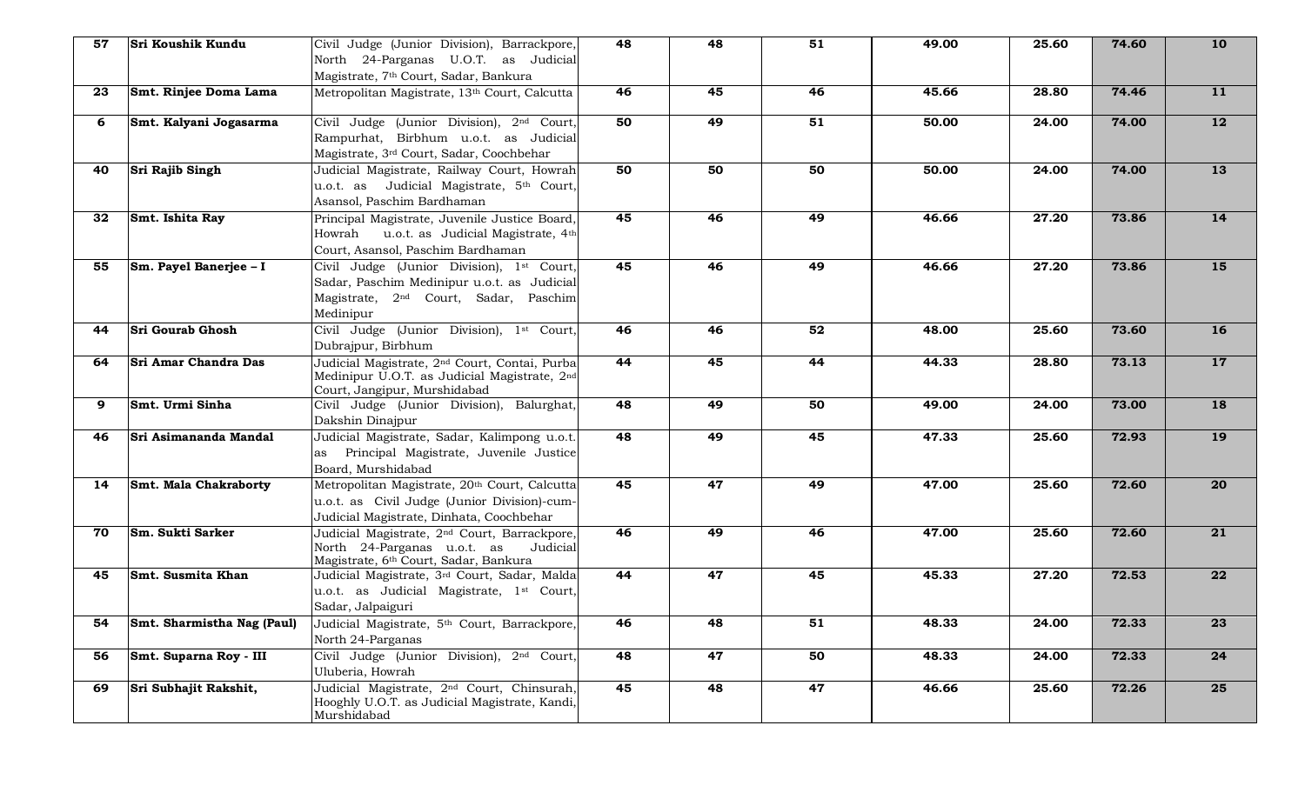| 57 | Sri Koushik Kundu            | Civil Judge (Junior Division), Barrackpore,                                                                                                                | 48              | 48 | $\overline{51}$ | 49.00 | 25.60              | 74.60 | <b>10</b>       |
|----|------------------------------|------------------------------------------------------------------------------------------------------------------------------------------------------------|-----------------|----|-----------------|-------|--------------------|-------|-----------------|
|    |                              | North 24-Parganas U.O.T. as Judicial                                                                                                                       |                 |    |                 |       |                    |       |                 |
|    |                              | Magistrate, 7 <sup>th</sup> Court, Sadar, Bankura                                                                                                          |                 |    |                 |       |                    |       |                 |
| 23 | Smt. Rinjee Doma Lama        | Metropolitan Magistrate, 13th Court, Calcutta                                                                                                              | 46              | 45 | 46              | 45.66 | 28.80              | 74.46 | 11              |
| 6  | Smt. Kalyani Jogasarma       | Civil Judge (Junior Division), 2 <sup>nd</sup> Court,<br>Rampurhat, Birbhum u.o.t. as Judicial<br>Magistrate, 3rd Court, Sadar, Coochbehar                 | 50              | 49 | $\overline{51}$ | 50.00 | 24.00              | 74.00 | $\overline{12}$ |
| 40 | <b>Sri Rajib Singh</b>       | Judicial Magistrate, Railway Court, Howrah<br>u.o.t. as Judicial Magistrate, 5th Court,<br>Asansol, Paschim Bardhaman                                      | 50              | 50 | 50              | 50.00 | $\overline{2}4.00$ | 74.00 | 13              |
| 32 | Smt. Ishita Ray              | Principal Magistrate, Juvenile Justice Board,<br>Howrah u.o.t. as Judicial Magistrate, 4th<br>Court, Asansol, Paschim Bardhaman                            | 45              | 46 | 49              | 46.66 | 27.20              | 73.86 | 14              |
| 55 | Sm. Payel Banerjee - I       | Civil Judge (Junior Division), 1st Court,<br>Sadar, Paschim Medinipur u.o.t. as Judicial<br>Magistrate, 2 <sup>nd</sup> Court, Sadar, Paschim<br>Medinipur | 45              | 46 | 49              | 46.66 | 27.20              | 73.86 | 15              |
| 44 | <b>Sri Gourab Ghosh</b>      | Civil Judge (Junior Division), 1st Court,<br>Dubrajpur, Birbhum                                                                                            | 46              | 46 | $\overline{52}$ | 48.00 | 25.60              | 73.60 | <b>16</b>       |
| 64 | Sri Amar Chandra Das         | Judicial Magistrate, 2 <sup>nd</sup> Court, Contai, Purba<br>Medinipur U.O.T. as Judicial Magistrate, 2nd<br>Court, Jangipur, Murshidabad                  | 44              | 45 | 44              | 44.33 | 28.80              | 73.13 | 17              |
| 9  | Smt. Urmi Sinha              | Civil Judge (Junior Division), Balurghat,<br>Dakshin Dinajpur                                                                                              | $\overline{48}$ | 49 | 50              | 49.00 | $\overline{2}4.00$ | 73.00 | <b>18</b>       |
| 46 | Sri Asimananda Mandal        | Judicial Magistrate, Sadar, Kalimpong u.o.t.<br>as Principal Magistrate, Juvenile Justice<br>Board, Murshidabad                                            | $\overline{48}$ | 49 | 45              | 47.33 | 25.60              | 72.93 | <b>19</b>       |
| 14 | <b>Smt. Mala Chakraborty</b> | Metropolitan Magistrate, 20th Court, Calcutta<br>u.o.t. as Civil Judge (Junior Division)-cum-<br>Judicial Magistrate, Dinhata, Coochbehar                  | 45              | 47 | 49              | 47.00 | 25.60              | 72.60 | $\overline{20}$ |
| 70 | Sm. Sukti Sarker             | Judicial Magistrate, 2 <sup>nd</sup> Court, Barrackpore,<br>North 24-Parganas u.o.t. as<br>Judicial<br>Magistrate, 6th Court, Sadar, Bankura               | 46              | 49 | 46              | 47.00 | 25.60              | 72.60 | 21              |
| 45 | <b>Smt. Susmita Khan</b>     | Judicial Magistrate, 3rd Court, Sadar, Malda<br>u.o.t. as Judicial Magistrate, 1st Court,<br>Sadar, Jalpaiguri                                             | 44              | 47 | 45              | 45.33 | 27.20              | 72.53 | 22              |
| 54 | Smt. Sharmistha Nag (Paul)   | Judicial Magistrate, 5 <sup>th</sup> Court, Barrackpore,<br>North 24-Parganas                                                                              | 46              | 48 | 51              | 48.33 | 24.00              | 72.33 | 23              |
| 56 | Smt. Suparna Roy - III       | Civil Judge (Junior Division), 2nd Court,<br>Uluberia, Howrah                                                                                              | 48              | 47 | 50              | 48.33 | $\overline{2}4.00$ | 72.33 | 24              |
| 69 | Sri Subhajit Rakshit,        | Judicial Magistrate, 2 <sup>nd</sup> Court, Chinsurah,<br>Hooghly U.O.T. as Judicial Magistrate, Kandi,<br>Murshidabad                                     | 45              | 48 | 47              | 46.66 | 25.60              | 72.26 | 25              |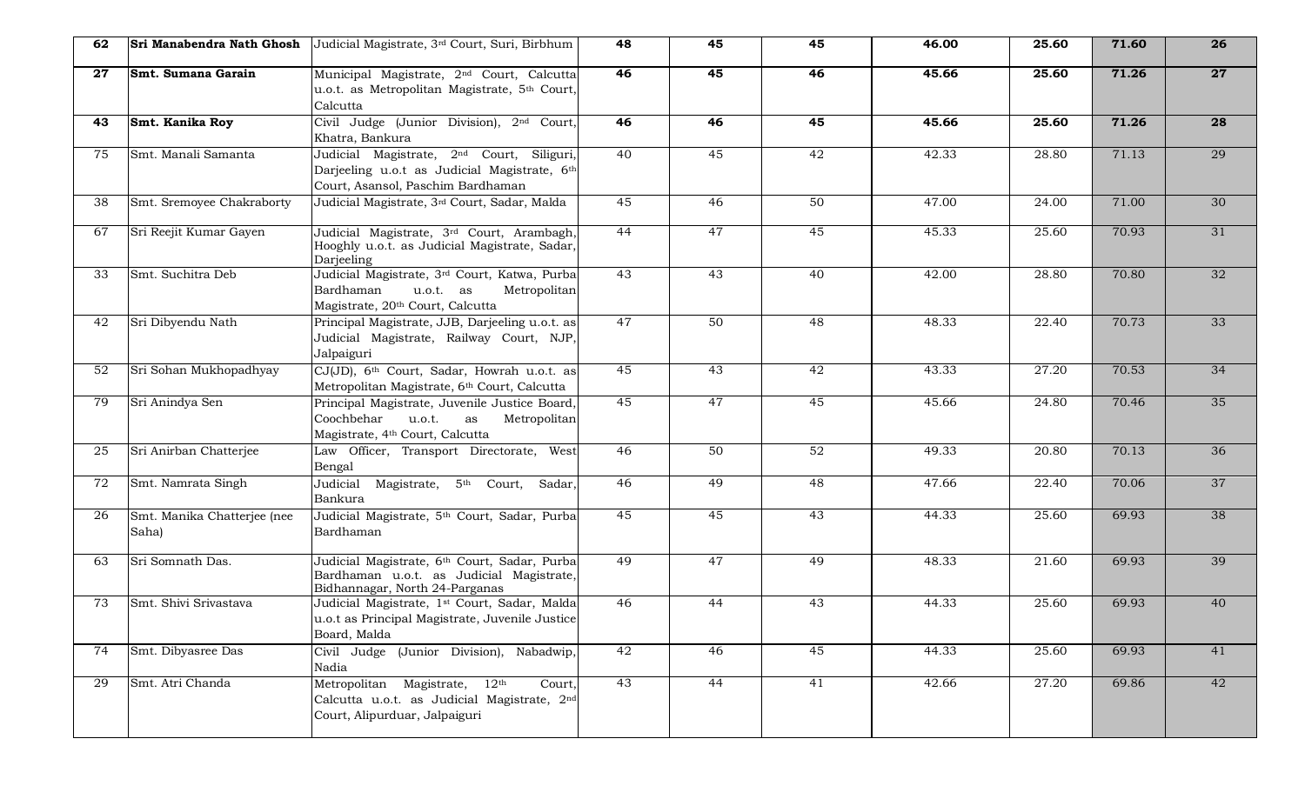| 62  | Sri Manabendra Nath Ghosh            | Judicial Magistrate, 3rd Court, Suri, Birbhum                                                                                              | 48              | 45 | 45              | 46.00 | 25.60 | 71.60 | 26              |
|-----|--------------------------------------|--------------------------------------------------------------------------------------------------------------------------------------------|-----------------|----|-----------------|-------|-------|-------|-----------------|
| 27  | Smt. Sumana Garain                   | Municipal Magistrate, 2 <sup>nd</sup> Court, Calcutta<br>u.o.t. as Metropolitan Magistrate, 5th Court,<br>Calcutta                         | 46              | 45 | 46              | 45.66 | 25.60 | 71.26 | $\overline{27}$ |
| 43. | Smt. Kanika Roy                      | Civil Judge (Junior Division), 2 <sup>nd</sup> Court,<br>Khatra, Bankura                                                                   | 46              | 46 | 45              | 45.66 | 25.60 | 71.26 | 28              |
| 75  | Smt. Manali Samanta                  | Judicial Magistrate, 2 <sup>nd</sup> Court, Siliguri,<br>Darjeeling u.o.t as Judicial Magistrate, 6th<br>Court, Asansol, Paschim Bardhaman | 40              | 45 | 42              | 42.33 | 28.80 | 71.13 | 29              |
| 38  | Smt. Sremoyee Chakraborty            | Judicial Magistrate, 3rd Court, Sadar, Malda                                                                                               | 45              | 46 | 50              | 47.00 | 24.00 | 71.00 | 30              |
| 67  | Sri Reejit Kumar Gayen               | Judicial Magistrate, 3 <sup>rd</sup> Court, Arambagh,<br>Hooghly u.o.t. as Judicial Magistrate, Sadar,<br>Darjeeling                       | 44              | 47 | 45              | 45.33 | 25.60 | 70.93 | 31              |
| 33  | Smt. Suchitra Deb                    | Judicial Magistrate, 3 <sup>rd</sup> Court, Katwa, Purba<br>Bardhaman<br>u.o.t. as<br>Metropolitan<br>Magistrate, 20th Court, Calcutta     | 43              | 43 | 40              | 42.00 | 28.80 | 70.80 | 32              |
| 42  | Sri Dibyendu Nath                    | Principal Magistrate, JJB, Darjeeling u.o.t. as<br>Judicial Magistrate, Railway Court, NJP,<br>Jalpaiguri                                  | 47              | 50 | $\overline{48}$ | 48.33 | 22.40 | 70.73 | 33              |
| 52  | Sri Sohan Mukhopadhyay               | CJ(JD), 6th Court, Sadar, Howrah u.o.t. as<br>Metropolitan Magistrate, 6th Court, Calcutta                                                 | 45              | 43 | $\overline{42}$ | 43.33 | 27.20 | 70.53 | 34              |
| 79  | Sri Anindya Sen                      | Principal Magistrate, Juvenile Justice Board,<br>Coochbehar<br>u.o.t.<br>Metropolitan<br>as<br>Magistrate, 4th Court, Calcutta             | 45              | 47 | $\overline{45}$ | 45.66 | 24.80 | 70.46 | 35              |
| 25  | Sri Anirban Chatterjee               | Law Officer, Transport Directorate, West<br>Bengal                                                                                         | 46              | 50 | $\overline{52}$ | 49.33 | 20.80 | 70.13 | 36              |
| 72  | Smt. Namrata Singh                   | Judicial Magistrate, 5th Court,<br>Sadar,<br>Bankura                                                                                       | 46              | 49 | $\overline{48}$ | 47.66 | 22.40 | 70.06 | 37              |
| 26  | Smt. Manika Chatterjee (nee<br>Saha) | Judicial Magistrate, 5th Court, Sadar, Purba<br>Bardhaman                                                                                  | 45              | 45 | 43              | 44.33 | 25.60 | 69.93 | 38              |
| 63  | Sri Somnath Das.                     | Judicial Magistrate, 6th Court, Sadar, Purba<br>Bardhaman u.o.t. as Judicial Magistrate,<br>Bidhannagar, North 24-Parganas                 | 49              | 47 | 49              | 48.33 | 21.60 | 69.93 | 39              |
| 73  | Smt. Shivi Srivastava                | Judicial Magistrate, 1st Court, Sadar, Malda<br>u.o.t as Principal Magistrate, Juvenile Justice<br>Board, Malda                            | $\overline{46}$ | 44 | 43              | 44.33 | 25.60 | 69.93 | 40              |
| 74  | Smt. Dibyasree Das                   | Civil Judge (Junior Division), Nabadwip,<br>Nadia                                                                                          | 42              | 46 | 45              | 44.33 | 25.60 | 69.93 | 41              |
| 29  | Smt. Atri Chanda                     | Metropolitan Magistrate, 12th<br>Court,<br>Calcutta u.o.t. as Judicial Magistrate, 2nd<br>Court, Alipurduar, Jalpaiguri                    | 43              | 44 | 41              | 42.66 | 27.20 | 69.86 | 42              |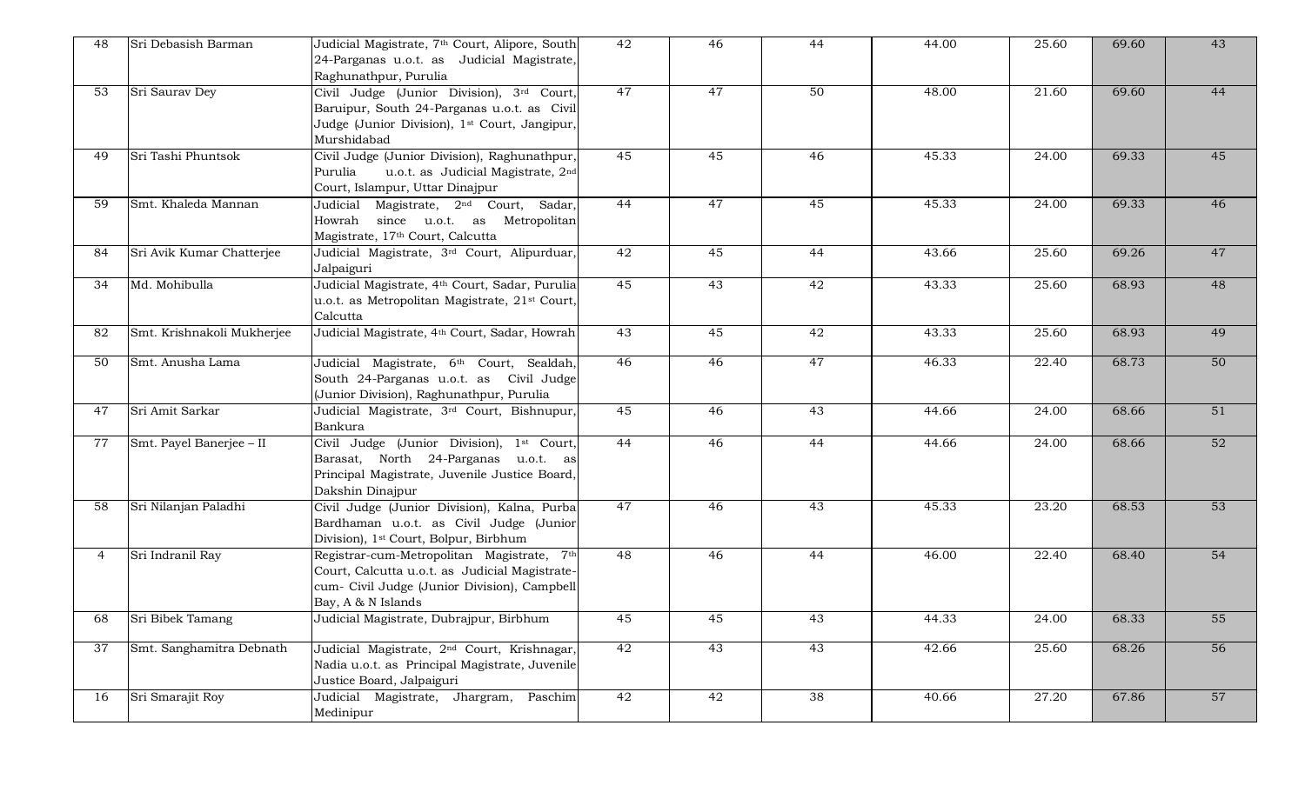| 48          | Sri Debasish Barman        | Judicial Magistrate, 7 <sup>th</sup> Court, Alipore, South<br>24-Parganas u.o.t. as Judicial Magistrate,<br>Raghunathpur, Purulia                                    | 42              | 46 | 44              | 44.00 | 25.60              | 69.60 | 43 |
|-------------|----------------------------|----------------------------------------------------------------------------------------------------------------------------------------------------------------------|-----------------|----|-----------------|-------|--------------------|-------|----|
| 53          | Sri Saurav Dey             | Civil Judge (Junior Division), 3rd Court,<br>Baruipur, South 24-Parganas u.o.t. as Civil<br>Judge (Junior Division), 1 <sup>st</sup> Court, Jangipur,<br>Murshidabad | 47              | 47 | 50              | 48.00 | 21.60              | 69.60 | 44 |
| 49          | Sri Tashi Phuntsok         | Civil Judge (Junior Division), Raghunathpur,<br>u.o.t. as Judicial Magistrate, 2nd<br>Purulia<br>Court, Islampur, Uttar Dinajpur                                     | 45              | 45 | 46              | 45.33 | 24.00              | 69.33 | 45 |
| 59          | Smt. Khaleda Mannan        | Judicial Magistrate, 2 <sup>nd</sup> Court, Sadar,<br>Howrah since u.o.t. as Metropolitan<br>Magistrate, 17th Court, Calcutta                                        | 44              | 47 | 45              | 45.33 | 24.00              | 69.33 | 46 |
| 84          | Sri Avik Kumar Chatterjee  | Judicial Magistrate, 3rd Court, Alipurduar,<br>Jalpaiguri                                                                                                            | 42              | 45 | 44              | 43.66 | 25.60              | 69.26 | 47 |
| 34          | Md. Mohibulla              | Judicial Magistrate, 4th Court, Sadar, Purulia<br>u.o.t. as Metropolitan Magistrate, 21 <sup>st</sup> Court,<br>Calcutta                                             | 45              | 43 | 42              | 43.33 | 25.60              | 68.93 | 48 |
| 82          | Smt. Krishnakoli Mukherjee | Judicial Magistrate, 4th Court, Sadar, Howrah                                                                                                                        | 43              | 45 | 42              | 43.33 | 25.60              | 68.93 | 49 |
| 50          | Smt. Anusha Lama           | Judicial Magistrate, 6 <sup>th</sup> Court, Sealdah,<br>South 24-Parganas u.o.t. as Civil Judge<br>(Junior Division), Raghunathpur, Purulia                          | 46              | 46 | 47              | 46.33 | 22.40              | 68.73 | 50 |
| 47          | Sri Amit Sarkar            | Judicial Magistrate, 3rd Court, Bishnupur,<br>Bankura                                                                                                                | 45              | 46 | 43              | 44.66 | 24.00              | 68.66 | 51 |
| 77          | Smt. Payel Banerjee - II   | Civil Judge (Junior Division), 1st Court,<br>Barasat, North 24-Parganas u.o.t. as<br>Principal Magistrate, Juvenile Justice Board,<br>Dakshin Dinajpur               | 44              | 46 | 44              | 44.66 | $\overline{2}4.00$ | 68.66 | 52 |
| 58          | Sri Nilanjan Paladhi       | Civil Judge (Junior Division), Kalna, Purba<br>Bardhaman u.o.t. as Civil Judge (Junior<br>Division), 1 <sup>st</sup> Court, Bolpur, Birbhum                          | 47              | 46 | 43              | 45.33 | 23.20              | 68.53 | 53 |
| $4^{\circ}$ | Sri Indranil Ray           | Registrar-cum-Metropolitan Magistrate, 7th<br>Court, Calcutta u.o.t. as Judicial Magistrate-<br>cum- Civil Judge (Junior Division), Campbell<br>Bay, A & N Islands   | $\overline{48}$ | 46 | 44              | 46.00 | 22.40              | 68.40 | 54 |
| 68          | Sri Bibek Tamang           | Judicial Magistrate, Dubrajpur, Birbhum                                                                                                                              | 45              | 45 | 43              | 44.33 | 24.00              | 68.33 | 55 |
| 37          | Smt. Sanghamitra Debnath   | Judicial Magistrate, 2 <sup>nd</sup> Court, Krishnagar,<br>Nadia u.o.t. as Principal Magistrate, Juvenile<br>Justice Board, Jalpaiguri                               | $\overline{42}$ | 43 | 43              | 42.66 | 25.60              | 68.26 | 56 |
| 16          | Sri Smarajit Roy           | Judicial Magistrate, Jhargram, Paschim<br>Medinipur                                                                                                                  | 42              | 42 | $\overline{38}$ | 40.66 | 27.20              | 67.86 | 57 |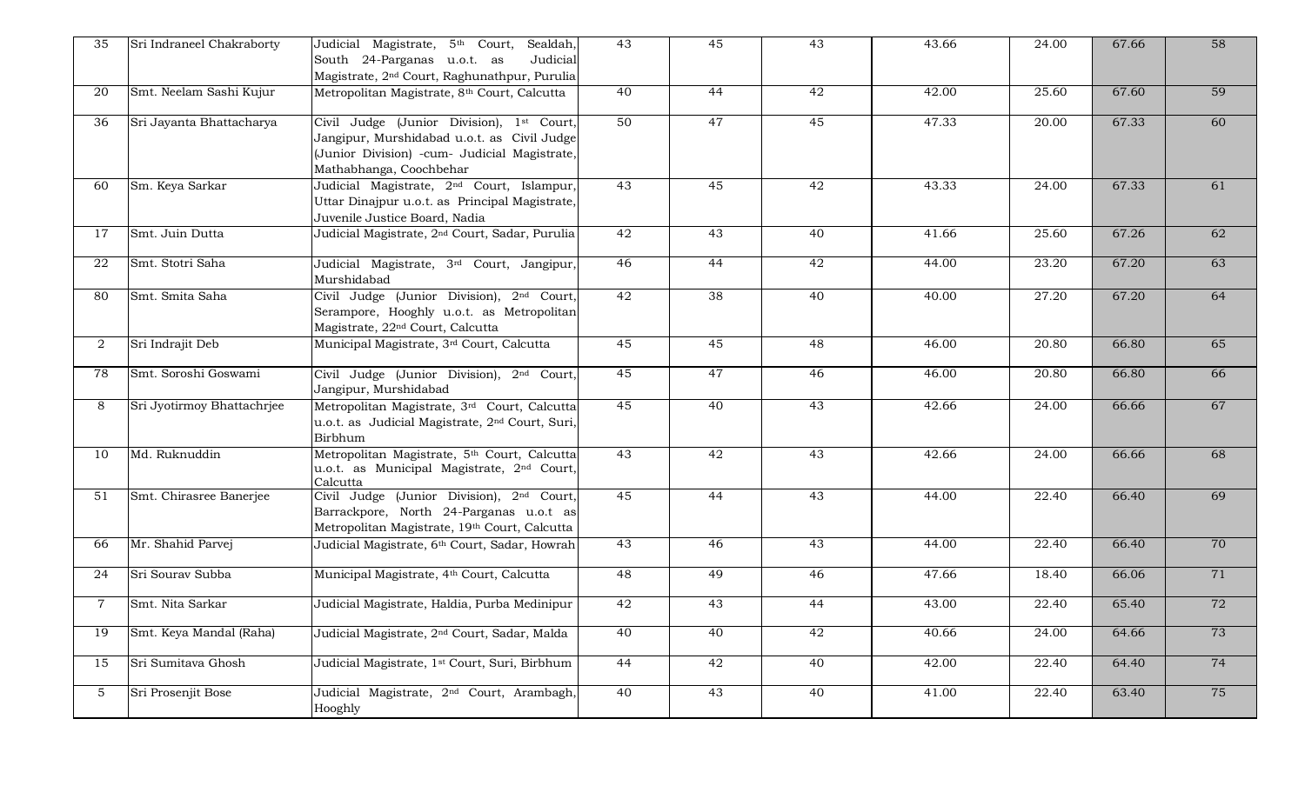| 35             | Sri Indraneel Chakraborty  | Judicial Magistrate, 5th Court,<br>Sealdah<br>Judicial<br>South 24-Parganas u.o.t. as<br>Magistrate, 2 <sup>nd</sup> Court, Raghunathpur, Purulia                   | 43              | 45              | 43              | 43.66 | 24.00              | 67.66 | 58 |
|----------------|----------------------------|---------------------------------------------------------------------------------------------------------------------------------------------------------------------|-----------------|-----------------|-----------------|-------|--------------------|-------|----|
| 20             | Smt. Neelam Sashi Kujur    | Metropolitan Magistrate, 8th Court, Calcutta                                                                                                                        | 40              | 44              | 42              | 42.00 | 25.60              | 67.60 | 59 |
| 36             | Sri Jayanta Bhattacharya   | Civil Judge (Junior Division), 1st Court,<br>Jangipur, Murshidabad u.o.t. as Civil Judge<br>(Junior Division) -cum- Judicial Magistrate,<br>Mathabhanga, Coochbehar | 50              | 47              | 45              | 47.33 | 20.00              | 67.33 | 60 |
| 60             | Sm. Keya Sarkar            | Judicial Magistrate, 2 <sup>nd</sup> Court, Islampur,<br>Uttar Dinajpur u.o.t. as Principal Magistrate,<br>Juvenile Justice Board, Nadia                            | 43              | 45              | 42              | 43.33 | 24.00              | 67.33 | 61 |
| 17             | Smt. Juin Dutta            | Judicial Magistrate, 2 <sup>nd</sup> Court, Sadar, Purulia                                                                                                          | 42              | 43              | 40              | 41.66 | 25.60              | 67.26 | 62 |
| 22             | Smt. Stotri Saha           | Judicial Magistrate, 3 <sup>rd</sup> Court, Jangipur,<br>Murshidabad                                                                                                | 46              | 44              | $\overline{42}$ | 44.00 | $\overline{23.20}$ | 67.20 | 63 |
| 80             | Smt. Smita Saha            | Civil Judge (Junior Division), 2nd Court,<br>Serampore, Hooghly u.o.t. as Metropolitan<br>Magistrate, 22 <sup>nd</sup> Court, Calcutta                              | $\overline{42}$ | $\overline{38}$ | 40              | 40.00 | 27.20              | 67.20 | 64 |
| $\overline{2}$ | Sri Indrajit Deb           | Municipal Magistrate, 3rd Court, Calcutta                                                                                                                           | 45              | 45              | $\overline{48}$ | 46.00 | 20.80              | 66.80 | 65 |
| 78             | Smt. Soroshi Goswami       | Civil Judge (Junior Division), 2nd Court,<br>Jangipur, Murshidabad                                                                                                  | 45              | 47              | 46              | 46.00 | 20.80              | 66.80 | 66 |
| 8              | Sri Jyotirmoy Bhattachriee | Metropolitan Magistrate, 3rd Court, Calcutta<br>u.o.t. as Judicial Magistrate, 2 <sup>nd</sup> Court, Suri,<br>Birbhum                                              | 45              | 40              | 43              | 42.66 | 24.00              | 66.66 | 67 |
| 10             | Md. Ruknuddin              | Metropolitan Magistrate, 5 <sup>th</sup> Court, Calcutta<br>u.o.t. as Municipal Magistrate, 2 <sup>nd</sup> Court,<br>Calcutta                                      | 43              | 42              | 43              | 42.66 | $\frac{24.00}{ }$  | 66.66 | 68 |
| 51             | Smt. Chirasree Banerjee    | Civil Judge (Junior Division), 2nd Court,<br>Barrackpore, North 24-Parganas u.o.t as<br>Metropolitan Magistrate, 19th Court, Calcutta                               | 45              | 44              | 43              | 44.00 | 22.40              | 66.40 | 69 |
| 66             | Mr. Shahid Parvej          | Judicial Magistrate, 6 <sup>th</sup> Court, Sadar, Howrah                                                                                                           | 43              | 46              | 43              | 44.00 | 22.40              | 66.40 | 70 |
| 24             | Sri Sourav Subba           | Municipal Magistrate, 4th Court, Calcutta                                                                                                                           | 48              | 49              | 46              | 47.66 | 18.40              | 66.06 | 71 |
| $7^{\circ}$    | Smt. Nita Sarkar           | Judicial Magistrate, Haldia, Purba Medinipur                                                                                                                        | 42              | 43              | 44              | 43.00 | 22.40              | 65.40 | 72 |
| 19             | Smt. Keya Mandal (Raha)    | Judicial Magistrate, 2 <sup>nd</sup> Court, Sadar, Malda                                                                                                            | 40              | 40              | 42              | 40.66 | 24.00              | 64.66 | 73 |
| 15             | Sri Sumitava Ghosh         | Judicial Magistrate, 1st Court, Suri, Birbhum                                                                                                                       | 44              | 42              | 40              | 42.00 | 22.40              | 64.40 | 74 |
| 5 <sup>1</sup> | Sri Prosenjit Bose         | Judicial Magistrate, 2 <sup>nd</sup> Court, Arambagh,<br>Hooghly                                                                                                    | 40              | 43              | 40              | 41.00 | 22.40              | 63.40 | 75 |